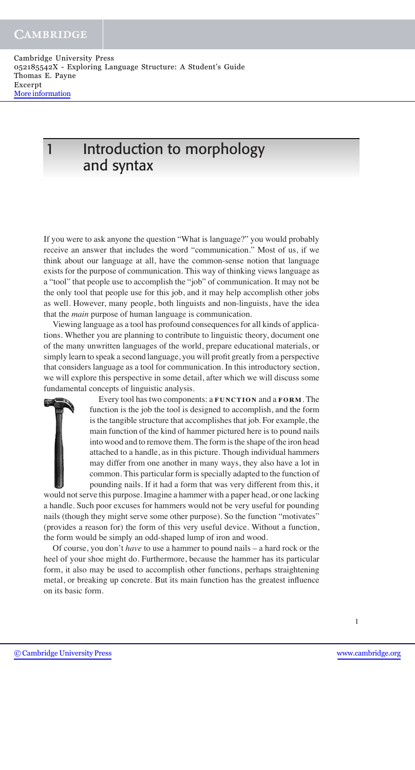Cambridge University Press 052185542X - Exploring Language Structure: A Student's Guide Thomas E. Payne Excerpt [More information](http://www.cambridge.org/052185542X)

# 1 Introduction to morphology and syntax

If you were to ask anyone the question "What is language?" you would probably receive an answer that includes the word "communication." Most of us, if we think about our language at all, have the common-sense notion that language exists for the purpose of communication. This way of thinking views language as a "tool" that people use to accomplish the "job" of communication. It may not be the only tool that people use for this job, and it may help accomplish other jobs as well. However, many people, both linguists and non-linguists, have the idea that the *main* purpose of human language is communication.

Viewing language as a tool has profound consequences for all kinds of applications. Whether you are planning to contribute to linguistic theory, document one of the many unwritten languages of the world, prepare educational materials, or simply learn to speak a second language, you will profit greatly from a perspective that considers language as a tool for communication. In this introductory section, we will explore this perspective in some detail, after which we will discuss some fundamental concepts of linguistic analysis.

> Every tool has two components: a **function** and a **form**. The function is the job the tool is designed to accomplish, and the form is the tangible structure that accomplishes that job. For example, the main function of the kind of hammer pictured here is to pound nails into wood and to remove them. The form is the shape of the iron head attached to a handle, as in this picture. Though individual hammers may differ from one another in many ways, they also have a lot in common. This particular form is specially adapted to the function of pounding nails. If it had a form that was very different from this, it

would not serve this purpose. Imagine a hammer with a paper head, or one lacking a handle. Such poor excuses for hammers would not be very useful for pounding nails (though they might serve some other purpose). So the function "motivates" (provides a reason for) the form of this very useful device. Without a function, the form would be simply an odd-shaped lump of iron and wood.

Of course, you don't *have* to use a hammer to pound nails – a hard rock or the heel of your shoe might do. Furthermore, because the hammer has its particular form, it also may be used to accomplish other functions, perhaps straightening metal, or breaking up concrete. But its main function has the greatest influence on its basic form.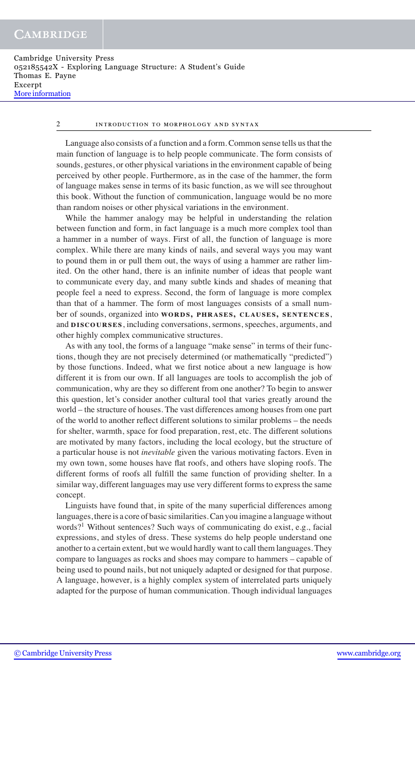Cambridge University Press 052185542X - Exploring Language Structure: A Student's Guide Thomas E. Payne Excerpt [More information](http://www.cambridge.org/052185542X)

#### 2 introduction to morphology and syntax

Language also consists of a function and a form. Common sense tells us that the main function of language is to help people communicate. The form consists of sounds, gestures, or other physical variations in the environment capable of being perceived by other people. Furthermore, as in the case of the hammer, the form of language makes sense in terms of its basic function, as we will see throughout this book. Without the function of communication, language would be no more than random noises or other physical variations in the environment.

While the hammer analogy may be helpful in understanding the relation between function and form, in fact language is a much more complex tool than a hammer in a number of ways. First of all, the function of language is more complex. While there are many kinds of nails, and several ways you may want to pound them in or pull them out, the ways of using a hammer are rather limited. On the other hand, there is an infinite number of ideas that people want to communicate every day, and many subtle kinds and shades of meaning that people feel a need to express. Second, the form of language is more complex than that of a hammer. The form of most languages consists of a small number of sounds, organized into **WORDS, PHRASES, CLAUSES, SENTENCES**, and **discourses**, including conversations, sermons, speeches, arguments, and other highly complex communicative structures.

As with any tool, the forms of a language "make sense" in terms of their functions, though they are not precisely determined (or mathematically "predicted") by those functions. Indeed, what we first notice about a new language is how different it is from our own. If all languages are tools to accomplish the job of communication, why are they so different from one another? To begin to answer this question, let's consider another cultural tool that varies greatly around the world – the structure of houses. The vast differences among houses from one part of the world to another reflect different solutions to similar problems – the needs for shelter, warmth, space for food preparation, rest, etc. The different solutions are motivated by many factors, including the local ecology, but the structure of a particular house is not *inevitable* given the various motivating factors. Even in my own town, some houses have flat roofs, and others have sloping roofs. The different forms of roofs all fulfill the same function of providing shelter. In a similar way, different languages may use very different forms to express the same concept.

Linguists have found that, in spite of the many superficial differences among languages, there is a core of basic similarities. Can you imagine a language without words?<sup>1</sup> Without sentences? Such ways of communicating do exist, e.g., facial expressions, and styles of dress. These systems do help people understand one another to a certain extent, but we would hardly want to call them languages. They compare to languages as rocks and shoes may compare to hammers – capable of being used to pound nails, but not uniquely adapted or designed for that purpose. A language, however, is a highly complex system of interrelated parts uniquely adapted for the purpose of human communication. Though individual languages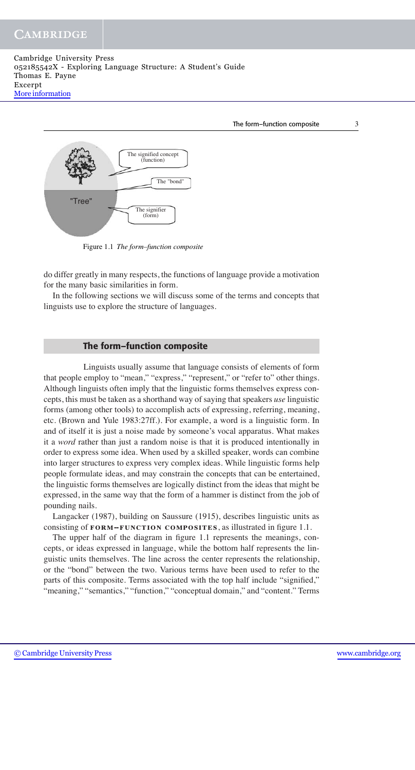

Figure 1.1 *The form–function composite*

do differ greatly in many respects, the functions of language provide a motivation for the many basic similarities in form.

In the following sections we will discuss some of the terms and concepts that linguists use to explore the structure of languages.

## **The form–function composite**

Linguists usually assume that language consists of elements of form that people employ to "mean," "express," "represent," or "refer to" other things. Although linguists often imply that the linguistic forms themselves express concepts, this must be taken as a shorthand way of saying that speakers *use* linguistic forms (among other tools) to accomplish acts of expressing, referring, meaning, etc. (Brown and Yule 1983:27ff.). For example, a word is a linguistic form. In and of itself it is just a noise made by someone's vocal apparatus. What makes it a *word* rather than just a random noise is that it is produced intentionally in order to express some idea. When used by a skilled speaker, words can combine into larger structures to express very complex ideas. While linguistic forms help people formulate ideas, and may constrain the concepts that can be entertained, the linguistic forms themselves are logically distinct from the ideas that might be expressed, in the same way that the form of a hammer is distinct from the job of pounding nails.

Langacker (1987), building on Saussure (1915), describes linguistic units as consisting of **form--function composites**, as illustrated in figure 1.1.

The upper half of the diagram in figure 1.1 represents the meanings, concepts, or ideas expressed in language, while the bottom half represents the linguistic units themselves. The line across the center represents the relationship, or the "bond" between the two. Various terms have been used to refer to the parts of this composite. Terms associated with the top half include "signified," "meaning," "semantics," "function," "conceptual domain," and "content." Terms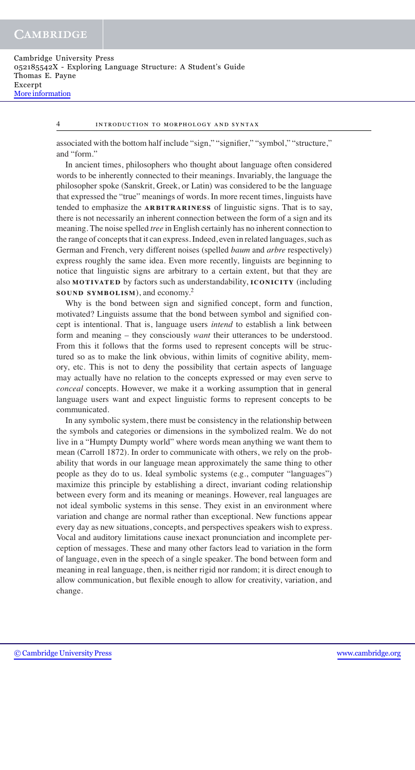#### 4 introduction to morphology and syntax

associated with the bottom half include "sign," "signifier," "symbol," "structure," and "form."

In ancient times, philosophers who thought about language often considered words to be inherently connected to their meanings. Invariably, the language the philosopher spoke (Sanskrit, Greek, or Latin) was considered to be the language that expressed the "true" meanings of words. In more recent times, linguists have tended to emphasize the **arbitrariness** of linguistic signs. That is to say, there is not necessarily an inherent connection between the form of a sign and its meaning. The noise spelled *tree* in English certainly has no inherent connection to the range of concepts that it can express. Indeed, even in related languages, such as German and French, very different noises (spelled *baum* and *arbre* respectively) express roughly the same idea. Even more recently, linguists are beginning to notice that linguistic signs are arbitrary to a certain extent, but that they are also **motivated** by factors such as understandability, **iconicity** (including **sound symbolism**), and economy.<sup>2</sup>

Why is the bond between sign and signified concept, form and function, motivated? Linguists assume that the bond between symbol and signified concept is intentional. That is, language users *intend* to establish a link between form and meaning – they consciously *want* their utterances to be understood. From this it follows that the forms used to represent concepts will be structured so as to make the link obvious, within limits of cognitive ability, memory, etc. This is not to deny the possibility that certain aspects of language may actually have no relation to the concepts expressed or may even serve to *conceal* concepts. However, we make it a working assumption that in general language users want and expect linguistic forms to represent concepts to be communicated.

In any symbolic system, there must be consistency in the relationship between the symbols and categories or dimensions in the symbolized realm. We do not live in a "Humpty Dumpty world" where words mean anything we want them to mean (Carroll 1872). In order to communicate with others, we rely on the probability that words in our language mean approximately the same thing to other people as they do to us. Ideal symbolic systems (e.g., computer "languages") maximize this principle by establishing a direct, invariant coding relationship between every form and its meaning or meanings. However, real languages are not ideal symbolic systems in this sense. They exist in an environment where variation and change are normal rather than exceptional. New functions appear every day as new situations, concepts, and perspectives speakers wish to express. Vocal and auditory limitations cause inexact pronunciation and incomplete perception of messages. These and many other factors lead to variation in the form of language, even in the speech of a single speaker. The bond between form and meaning in real language, then, is neither rigid nor random; it is direct enough to allow communication, but flexible enough to allow for creativity, variation, and change.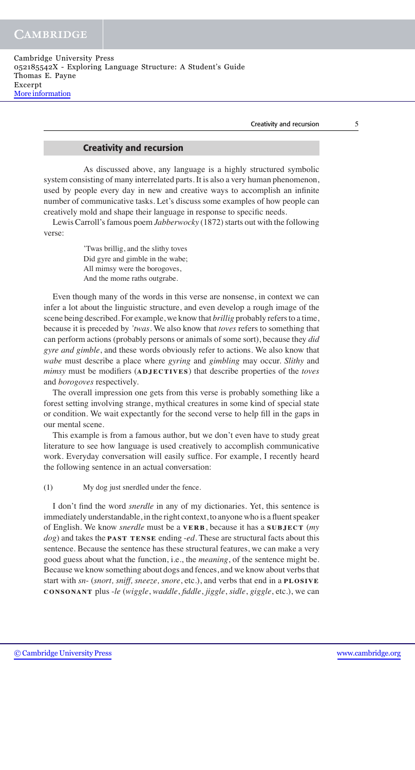Creativity and recursion 5

# **Creativity and recursion**

As discussed above, any language is a highly structured symbolic system consisting of many interrelated parts. It is also a very human phenomenon, used by people every day in new and creative ways to accomplish an infinite number of communicative tasks. Let's discuss some examples of how people can creatively mold and shape their language in response to specific needs.

Lewis Carroll's famous poem *Jabberwocky* (1872) starts out with the following verse:

> 'Twas brillig, and the slithy toves Did gyre and gimble in the wabe; All mimsy were the borogoves, And the mome raths outgrabe.

Even though many of the words in this verse are nonsense, in context we can infer a lot about the linguistic structure, and even develop a rough image of the scene being described. For example, we know that *brillig* probably refers to a time, because it is preceded by *'twas*. We also know that *toves* refers to something that can perform actions (probably persons or animals of some sort), because they *did gyre and gimble*, and these words obviously refer to actions. We also know that *wabe* must describe a place where *gyring* and *gimbling* may occur. *Slithy* and *mimsy* must be modifiers (**ADJECTIVES**) that describe properties of the *toves* and *borogoves* respectively.

The overall impression one gets from this verse is probably something like a forest setting involving strange, mythical creatures in some kind of special state or condition. We wait expectantly for the second verse to help fill in the gaps in our mental scene.

This example is from a famous author, but we don't even have to study great literature to see how language is used creatively to accomplish communicative work. Everyday conversation will easily suffice. For example, I recently heard the following sentence in an actual conversation:

(1) My dog just snerdled under the fence.

I don't find the word *snerdle* in any of my dictionaries. Yet, this sentence is immediately understandable, in the right context, to anyone who is a fluent speaker of English. We know *snerdle* must be a **verb**, because it has a **subject** (*my dog*) and takes the **PAST TENSE** ending *-ed*. These are structural facts about this sentence. Because the sentence has these structural features, we can make a very good guess about what the function, i.e., the *meaning*, of the sentence might be. Because we know something about dogs and fences, and we know about verbs that start with *sn*- (*snort*, *sniff*, *sneeze*, *snore*, etc.), and verbs that end in a **PLOSIVE consonant** plus -*le* (*wiggle*, *waddle*, *fiddle*, *jiggle*, *sidle*, *giggle*, etc.), we can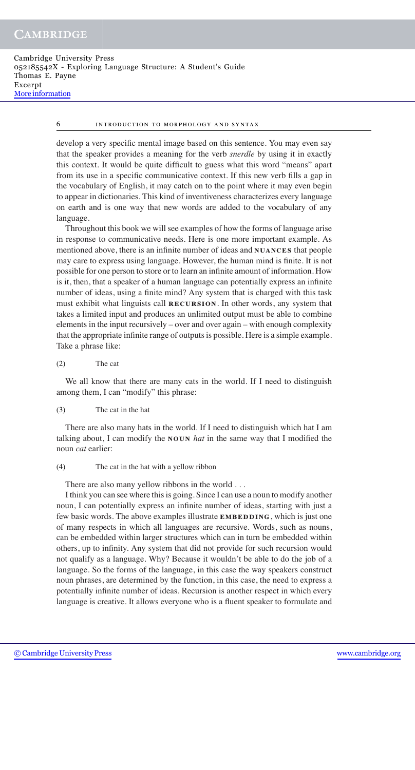#### 6 introduction to morphology and syntax

develop a very specific mental image based on this sentence. You may even say that the speaker provides a meaning for the verb *snerdle* by using it in exactly this context. It would be quite difficult to guess what this word "means" apart from its use in a specific communicative context. If this new verb fills a gap in the vocabulary of English, it may catch on to the point where it may even begin to appear in dictionaries. This kind of inventiveness characterizes every language on earth and is one way that new words are added to the vocabulary of any language.

Throughout this book we will see examples of how the forms of language arise in response to communicative needs. Here is one more important example. As mentioned above, there is an infinite number of ideas and **nuances** that people may care to express using language. However, the human mind is finite. It is not possible for one person to store or to learn an infinite amount of information. How is it, then, that a speaker of a human language can potentially express an infinite number of ideas, using a finite mind? Any system that is charged with this task must exhibit what linguists call **recursion**. In other words, any system that takes a limited input and produces an unlimited output must be able to combine elements in the input recursively – over and over again – with enough complexity that the appropriate infinite range of outputs is possible. Here is a simple example. Take a phrase like:

## (2) The cat

We all know that there are many cats in the world. If I need to distinguish among them, I can "modify" this phrase:

#### (3) The cat in the hat

There are also many hats in the world. If I need to distinguish which hat I am talking about, I can modify the **noun** *hat* in the same way that I modified the noun *cat* earlier:

## (4) The cat in the hat with a yellow ribbon

There are also many yellow ribbons in the world . . .

I think you can see where this is going. Since I can use a noun to modify another noun, I can potentially express an infinite number of ideas, starting with just a few basic words. The above examples illustrate **EMBEDDING**, which is just one of many respects in which all languages are recursive. Words, such as nouns, can be embedded within larger structures which can in turn be embedded within others, up to infinity. Any system that did not provide for such recursion would not qualify as a language. Why? Because it wouldn't be able to do the job of a language. So the forms of the language, in this case the way speakers construct noun phrases, are determined by the function, in this case, the need to express a potentially infinite number of ideas. Recursion is another respect in which every language is creative. It allows everyone who is a fluent speaker to formulate and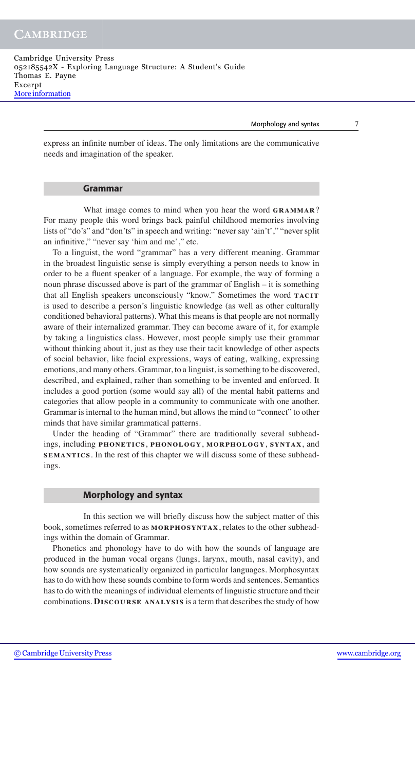Morphology and syntax 7

express an infinite number of ideas. The only limitations are the communicative needs and imagination of the speaker.

## **Grammar**

What image comes to mind when you hear the word **grammar**? For many people this word brings back painful childhood memories involving lists of "do's" and "don'ts" in speech and writing: "never say 'ain't'," "never split an infinitive," "never say 'him and me'," etc.

To a linguist, the word "grammar" has a very different meaning. Grammar in the broadest linguistic sense is simply everything a person needs to know in order to be a fluent speaker of a language. For example, the way of forming a noun phrase discussed above is part of the grammar of English – it is something that all English speakers unconsciously "know." Sometimes the word **tacit** is used to describe a person's linguistic knowledge (as well as other culturally conditioned behavioral patterns). What this means is that people are not normally aware of their internalized grammar. They can become aware of it, for example by taking a linguistics class. However, most people simply use their grammar without thinking about it, just as they use their tacit knowledge of other aspects of social behavior, like facial expressions, ways of eating, walking, expressing emotions, and many others. Grammar, to a linguist, is something to be discovered, described, and explained, rather than something to be invented and enforced. It includes a good portion (some would say all) of the mental habit patterns and categories that allow people in a community to communicate with one another. Grammar is internal to the human mind, but allows the mind to "connect" to other minds that have similar grammatical patterns.

Under the heading of "Grammar" there are traditionally several subheadings, including **phonetics**, **phonology**, **morphology**, **syntax**, and **semantics**. In the rest of this chapter we will discuss some of these subheadings.

# **Morphology and syntax**

In this section we will briefly discuss how the subject matter of this book, sometimes referred to as **morphosyntax**, relates to the other subheadings within the domain of Grammar.

Phonetics and phonology have to do with how the sounds of language are produced in the human vocal organs (lungs, larynx, mouth, nasal cavity), and how sounds are systematically organized in particular languages. Morphosyntax has to do with how these sounds combine to form words and sentences. Semantics has to do with the meanings of individual elements of linguistic structure and their combinations. **Discourse analysis** is a term that describes the study of how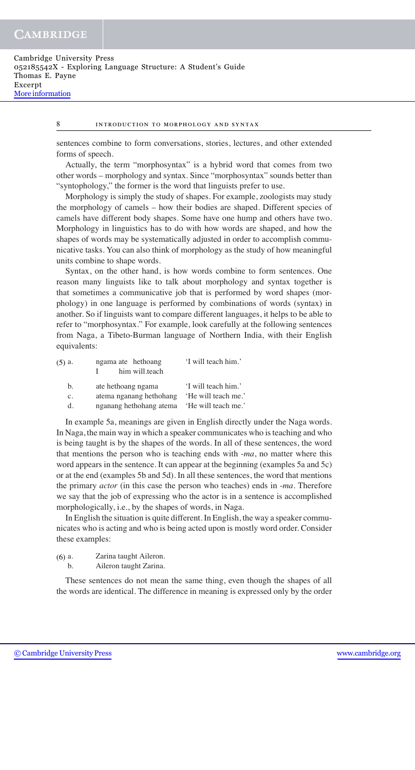#### 8 **INTRODUCTION TO MORPHOLOGY AND SYNTAX**

sentences combine to form conversations, stories, lectures, and other extended forms of speech.

Actually, the term "morphosyntax" is a hybrid word that comes from two other words – morphology and syntax. Since "morphosyntax" sounds better than "syntophology," the former is the word that linguists prefer to use.

Morphology is simply the study of shapes. For example, zoologists may study the morphology of camels – how their bodies are shaped. Different species of camels have different body shapes. Some have one hump and others have two. Morphology in linguistics has to do with how words are shaped, and how the shapes of words may be systematically adjusted in order to accomplish communicative tasks. You can also think of morphology as the study of how meaningful units combine to shape words.

Syntax, on the other hand, is how words combine to form sentences. One reason many linguists like to talk about morphology and syntax together is that sometimes a communicative job that is performed by word shapes (morphology) in one language is performed by combinations of words (syntax) in another. So if linguists want to compare different languages, it helps to be able to refer to "morphosyntax." For example, look carefully at the following sentences from Naga, a Tibeto-Burman language of Northern India, with their English equivalents:

| (5) a. | ngama ate hethoang<br>him will.teach | 'I will teach him.' |
|--------|--------------------------------------|---------------------|
| b.     | ate hethoang ngama                   | 'I will teach him.' |
| c.     | atema nganang hethohang              | 'He will teach me.' |
| d.     | nganang hethohang atema              | 'He will teach me.' |

In example 5a, meanings are given in English directly under the Naga words. In Naga, the main way in which a speaker communicates who is teaching and who is being taught is by the shapes of the words. In all of these sentences, the word that mentions the person who is teaching ends with -*ma*, no matter where this word appears in the sentence. It can appear at the beginning (examples 5a and 5c) or at the end (examples 5b and 5d). In all these sentences, the word that mentions the primary *actor* (in this case the person who teaches) ends in -*ma*. Therefore we say that the job of expressing who the actor is in a sentence is accomplished morphologically, i.e., by the shapes of words, in Naga.

In English the situation is quite different. In English, the way a speaker communicates who is acting and who is being acted upon is mostly word order. Consider these examples:

(6) a. Zarina taught Aileron.

b. Aileron taught Zarina.

These sentences do not mean the same thing, even though the shapes of all the words are identical. The difference in meaning is expressed only by the order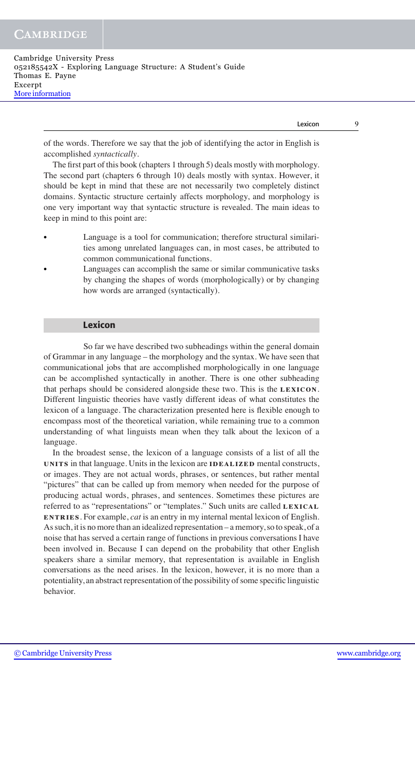Lexicon 9

of the words. Therefore we say that the job of identifying the actor in English is accomplished *syntactically*.

The first part of this book (chapters 1 through 5) deals mostly with morphology. The second part (chapters 6 through 10) deals mostly with syntax. However, it should be kept in mind that these are not necessarily two completely distinct domains. Syntactic structure certainly affects morphology, and morphology is one very important way that syntactic structure is revealed. The main ideas to keep in mind to this point are:

- Language is a tool for communication; therefore structural similarities among unrelated languages can, in most cases, be attributed to common communicational functions.
- Languages can accomplish the same or similar communicative tasks by changing the shapes of words (morphologically) or by changing how words are arranged (syntactically).

# **Lexicon**

So far we have described two subheadings within the general domain of Grammar in any language – the morphology and the syntax. We have seen that communicational jobs that are accomplished morphologically in one language can be accomplished syntactically in another. There is one other subheading that perhaps should be considered alongside these two. This is the **lexicon**. Different linguistic theories have vastly different ideas of what constitutes the lexicon of a language. The characterization presented here is flexible enough to encompass most of the theoretical variation, while remaining true to a common understanding of what linguists mean when they talk about the lexicon of a language.

In the broadest sense, the lexicon of a language consists of a list of all the **unity** in that language. Units in the lexicon are **IDEALIZED** mental constructs, or images. They are not actual words, phrases, or sentences, but rather mental "pictures" that can be called up from memory when needed for the purpose of producing actual words, phrases, and sentences. Sometimes these pictures are referred to as "representations" or "templates." Such units are called LEXICAL **ENTRIES**. For example, *cat* is an entry in my internal mental lexicon of English. As such, it is no more than an idealized representation – a memory, so to speak, of a noise that has served a certain range of functions in previous conversations I have been involved in. Because I can depend on the probability that other English speakers share a similar memory, that representation is available in English conversations as the need arises. In the lexicon, however, it is no more than a potentiality, an abstract representation of the possibility of some specific linguistic behavior.